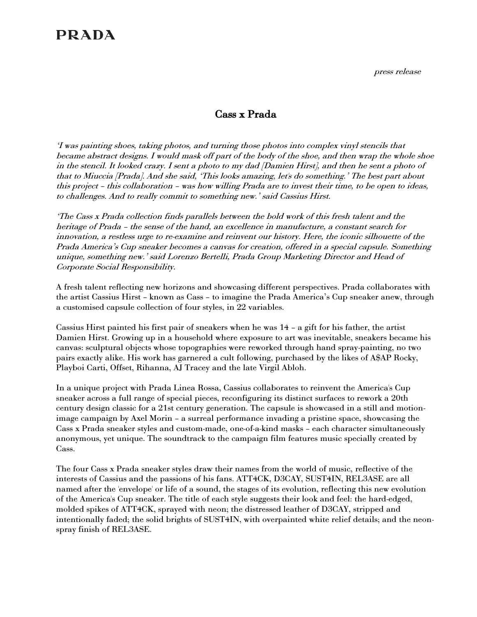## **PRADA**

press release

## Cass x Prada

'I was painting shoes, taking photos, and turning those photos into complex vinyl stencils that became abstract designs. I would mask off part of the body of the shoe, and then wrap the whole shoe in the stencil. It looked crazy. I sent a photo to my dad [Damien Hirst], and then he sent a photo of that to Miuccia [Prada]. And she said, 'This looks amazing, let's do something.' The best part about this project – this collaboration – was how willing Prada are to invest their time, to be open to ideas, to challenges. And to really commit to something new.' said Cassius Hirst.

'The Cass x Prada collection finds parallels between the bold work of this fresh talent and the heritage of Prada – the sense of the hand, an excellence in manufacture, a constant search for innovation, a restless urge to re-examine and reinvent our history. Here, the iconic silhouette of the Prada America's Cup sneaker becomes a canvas for creation, offered in a special capsule. Something unique, something new.' said Lorenzo Bertelli, Prada Group Marketing Director and Head of Corporate Social Responsibility.

A fresh talent reflecting new horizons and showcasing different perspectives. Prada collaborates with the artist Cassius Hirst – known as Cass – to imagine the Prada America's Cup sneaker anew, through a customised capsule collection of four styles, in 22 variables.

Cassius Hirst painted his first pair of sneakers when he was 14 – a gift for his father, the artist Damien Hirst. Growing up in a household where exposure to art was inevitable, sneakers became his canvas: sculptural objects whose topographies were reworked through hand spray-painting, no two pairs exactly alike. His work has garnered a cult following, purchased by the likes of A\$AP Rocky, Playboi Carti, Offset, Rihanna, AJ Tracey and the late Virgil Abloh.

In a unique project with Prada Linea Rossa, Cassius collaborates to reinvent the America's Cup sneaker across a full range of special pieces, reconfiguring its distinct surfaces to rework a 20th century design classic for a 21st century generation. The capsule is showcased in a still and motionimage campaign by Axel Morin – a surreal performance invading a pristine space, showcasing the Cass x Prada sneaker styles and custom-made, one-of-a-kind masks – each character simultaneously anonymous, yet unique. The soundtrack to the campaign film features music specially created by Cass.

The four Cass x Prada sneaker styles draw their names from the world of music, reflective of the interests of Cassius and the passions of his fans. ATT4CK, D3CAY, SUST4IN, REL3ASE are all named after the 'envelope' or life of a sound, the stages of its evolution, reflecting this new evolution of the America's Cup sneaker. The title of each style suggests their look and feel: the hard-edged, molded spikes of ATT4CK, sprayed with neon; the distressed leather of D3CAY, stripped and intentionally faded; the solid brights of SUST4IN, with overpainted white relief details; and the neonspray finish of REL3ASE.